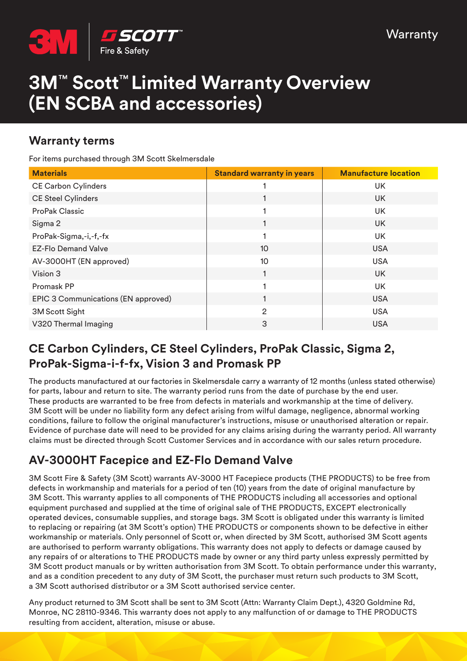

# **3M**™ **Scott**™ **Limited Warranty Overview (EN SCBA and accessories)**

#### **Warranty terms**

For items purchased through 3M Scott Skelmersdale

| <b>Materials</b>                    | <b>Standard warranty in years</b> | <b>Manufacture location</b> |
|-------------------------------------|-----------------------------------|-----------------------------|
| <b>CE Carbon Cylinders</b>          |                                   | UK                          |
| <b>CE Steel Cylinders</b>           |                                   | <b>UK</b>                   |
| <b>ProPak Classic</b>               |                                   | UK                          |
| Sigma 2                             |                                   | <b>UK</b>                   |
| ProPak-Sigma,-i,-f,-fx              |                                   | <b>UK</b>                   |
| <b>EZ-Flo Demand Valve</b>          | 10                                | <b>USA</b>                  |
| AV-3000HT (EN approved)             | 10                                | <b>USA</b>                  |
| Vision 3                            |                                   | <b>UK</b>                   |
| Promask PP                          |                                   | UK                          |
| EPIC 3 Communications (EN approved) |                                   | <b>USA</b>                  |
| 3M Scott Sight                      | $\overline{2}$                    | <b>USA</b>                  |
| V320 Thermal Imaging                | 3                                 | <b>USA</b>                  |

#### **CE Carbon Cylinders, CE Steel Cylinders, ProPak Classic, Sigma 2, ProPak-Sigma-i-f-fx, Vision 3 and Promask PP**

The products manufactured at our factories in Skelmersdale carry a warranty of 12 months (unless stated otherwise) for parts, labour and return to site. The warranty period runs from the date of purchase by the end user. These products are warranted to be free from defects in materials and workmanship at the time of delivery. 3M Scott will be under no liability form any defect arising from wilful damage, negligence, abnormal working conditions, failure to follow the original manufacturer's instructions, misuse or unauthorised alteration or repair. Evidence of purchase date will need to be provided for any claims arising during the warranty period. All warranty claims must be directed through Scott Customer Services and in accordance with our sales return procedure.

## **AV-3000HT Facepice and EZ-Flo Demand Valve**

3M Scott Fire & Safety (3M Scott) warrants AV-3000 HT Facepiece products (THE PRODUCTS) to be free from defects in workmanship and materials for a period of ten (10) years from the date of original manufacture by 3M Scott. This warranty applies to all components of THE PRODUCTS including all accessories and optional equipment purchased and supplied at the time of original sale of THE PRODUCTS, EXCEPT electronically operated devices, consumable supplies, and storage bags. 3M Scott is obligated under this warranty is limited to replacing or repairing (at 3M Scott's option) THE PRODUCTS or components shown to be defective in either workmanship or materials. Only personnel of Scott or, when directed by 3M Scott, authorised 3M Scott agents are authorised to perform warranty obligations. This warranty does not apply to defects or damage caused by any repairs of or alterations to THE PRODUCTS made by owner or any third party unless expressly permitted by 3M Scott product manuals or by written authorisation from 3M Scott. To obtain performance under this warranty, and as a condition precedent to any duty of 3M Scott, the purchaser must return such products to 3M Scott, a 3M Scott authorised distributor or a 3M Scott authorised service center.

Any product returned to 3M Scott shall be sent to 3M Scott (Attn: Warranty Claim Dept.), 4320 Goldmine Rd, Monroe, NC 28110-9346. This warranty does not apply to any malfunction of or damage to THE PRODUCTS resulting from accident, alteration, misuse or abuse.